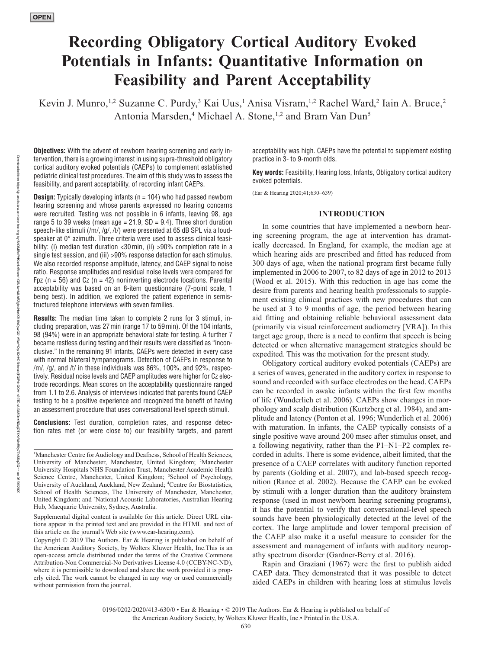# **Recording Obligatory Cortical Auditory Evoked Potentials in Infants: Quantitative Information on Feasibility and Parent Acceptability**

Kevin J. Munro,<sup>1,2</sup> Suzanne C. Purdy,<sup>3</sup> Kai Uus,<sup>1</sup> Anisa Visram,<sup>1,2</sup> Rachel Ward,<sup>2</sup> Iain A. Bruce,<sup>2</sup> Antonia Marsden,<sup>4</sup> Michael A. Stone,<sup>1,2</sup> and Bram Van Dun<sup>5</sup>

**Objectives:** With the advent of newborn hearing screening and early intervention, there is a growing interest in using supra-threshold obligatory cortical auditory evoked potentials (CAEPs) to complement established pediatric clinical test procedures. The aim of this study was to assess the feasibility, and parent acceptability, of recording infant CAEPs.

**Design:** Typically developing infants (n = 104) who had passed newborn hearing screening and whose parents expressed no hearing concerns were recruited. Testing was not possible in 6 infants, leaving 98, age range 5 to 39 weeks (mean age =  $21.9$ , SD =  $9.4$ ). Three short duration speech-like stimuli (/m/, /g/, /t/) were presented at 65 dB SPL via a loudspeaker at 0° azimuth. Three criteria were used to assess clinical feasibility: (i) median test duration < 30 min, (ii) > 90% completion rate in a single test session, and (iii) >90% response detection for each stimulus. We also recorded response amplitude, latency, and CAEP signal to noise ratio. Response amplitudes and residual noise levels were compared for Fpz ( $n = 56$ ) and Cz ( $n = 42$ ) noninverting electrode locations. Parental acceptability was based on an 8-item questionnaire (7-point scale, 1 being best). In addition, we explored the patient experience in semistructured telephone interviews with seven families.

**Results:** The median time taken to complete 2 runs for 3 stimuli, including preparation, was 27min (range 17 to 59min). Of the 104 infants, 98 (94%) were in an appropriate behavioral state for testing. A further 7 became restless during testing and their results were classified as "inconclusive." In the remaining 91 infants, CAEPs were detected in every case with normal bilateral tympanograms. Detection of CAEPs in response to /m/, /g/, and /t/ in these individuals was 86%, 100%, and 92%, respectively. Residual noise levels and CAEP amplitudes were higher for Cz electrode recordings. Mean scores on the acceptability questionnaire ranged from 1.1 to 2.6. Analysis of interviews indicated that parents found CAEP testing to be a positive experience and recognized the benefit of having an assessment procedure that uses conversational level speech stimuli.

**Conclusions:** Test duration, completion rates, and response detection rates met (or were close to) our feasibility targets, and parent acceptability was high. CAEPs have the potential to supplement existing practice in 3- to 9-month olds.

**Key words:** Feasibility, Hearing loss, Infants, Obligatory cortical auditory evoked potentials.

(Ear & Hearing 2020;41;630–639)

# **INTRODUCTION**

In some countries that have implemented a newborn hearing screening program, the age at intervention has dramatically decreased. In England, for example, the median age at which hearing aids are prescribed and fitted has reduced from 300 days of age, when the national program first became fully implemented in 2006 to 2007, to 82 days of age in 2012 to 2013 (Wood et al. 2015). With this reduction in age has come the desire from parents and hearing health professionals to supplement existing clinical practices with new procedures that can be used at 3 to 9 months of age, the period between hearing aid fitting and obtaining reliable behavioral assessment data (primarily via visual reinforcement audiometry [VRA]). In this target age group, there is a need to confirm that speech is being detected or when alternative management strategies should be expedited. This was the motivation for the present study.

Obligatory cortical auditory evoked potentials (CAEPs) are a series of waves, generated in the auditory cortex in response to sound and recorded with surface electrodes on the head. CAEPs can be recorded in awake infants within the first few months of life (Wunderlich et al. 2006). CAEPs show changes in morphology and scalp distribution (Kurtzberg et al. 1984), and amplitude and latency (Ponton et al. 1996; Wunderlich et al. 2006) with maturation. In infants, the CAEP typically consists of a single positive wave around 200 msec after stimulus onset, and a following negativity, rather than the P1–N1–P2 complex recorded in adults. There is some evidence, albeit limited, that the presence of a CAEP correlates with auditory function reported by parents (Golding et al. 2007), and lab-based speech recognition (Rance et al. 2002). Because the CAEP can be evoked by stimuli with a longer duration than the auditory brainstem response (used in most newborn hearing screening programs), it has the potential to verify that conversational-level speech sounds have been physiologically detected at the level of the cortex. The large amplitude and lower temporal precision of the CAEP also make it a useful measure to consider for the assessment and management of infants with auditory neuropathy spectrum disorder (Gardner-Berry et al. 2016).

Rapin and Graziani (1967) were the first to publish aided CAEP data. They demonstrated that it was possible to detect aided CAEPs in children with hearing loss at stimulus levels

<sup>&</sup>lt;sup>1</sup>Manchester Centre for Audiology and Deafness, School of Health Sciences, University of Manchester, Manchester, United Kingdom; <sup>2</sup>Manchester University Hospitals NHS Foundation Trust, Manchester Academic Health Science Centre, Manchester, United Kingdom; <sup>3</sup>School of Psychology, University of Auckland, Auckland, New Zealand; <sup>4</sup>Centre for Biostatistics, School of Health Sciences, The University of Manchester, Manchester, United Kingdom; and <sup>5</sup>National Acoustic Laboratories, Australian Hearing Hub, Macquarie University, Sydney, Australia.

Supplemental digital content is available for this article. Direct URL citations appear in the printed text and are provided in the HTML and text of this article on the journal's Web site [\(www.ear-hearing.com\)](www.ear-hearing.com).

Copyright © 2019 The Authors. Ear & Hearing is published on behalf of the American Auditory Society, by Wolters Kluwer Health, Inc.This is an open-access article distributed under the terms of the [Creative Commons](https://creativecommons.org/licenses/by-nc-nd/4.0/)  [Attribution-Non Commercial-No Derivatives License 4.0 \(CCBY-NC-ND\),](https://creativecommons.org/licenses/by-nc-nd/4.0/) where it is permissible to download and share the work provided it is properly cited. The work cannot be changed in any way or used commercially without permission from the journal.

<sup>0196/0202/2020/413-630/0 •</sup> Ear & Hearing • © 2019 The Authors. Ear & Hearing is published on behalf of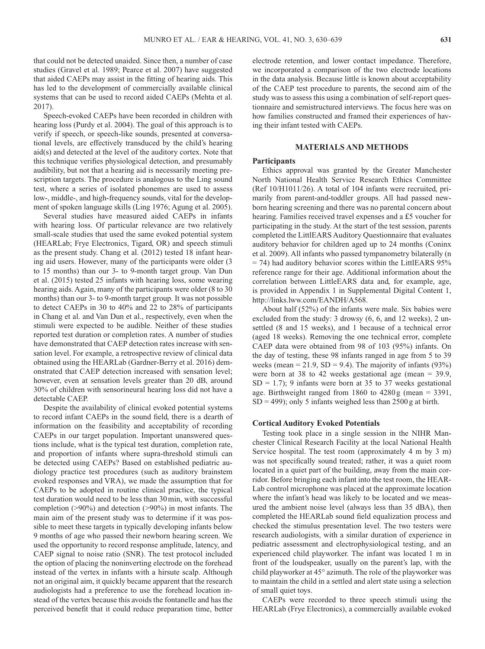that could not be detected unaided. Since then, a number of case studies (Gravel et al. 1989; Pearce et al. 2007) have suggested that aided CAEPs may assist in the fitting of hearing aids. This has led to the development of commercially available clinical systems that can be used to record aided CAEPs (Mehta et al. 2017).

Speech-evoked CAEPs have been recorded in children with hearing loss (Purdy et al. 2004). The goal of this approach is to verify if speech, or speech-like sounds, presented at conversational levels, are effectively transduced by the child's hearing aid(s) and detected at the level of the auditory cortex. Note that this technique verifies physiological detection, and presumably audibility, but not that a hearing aid is necessarily meeting prescription targets. The procedure is analogous to the Ling sound test, where a series of isolated phonemes are used to assess low-, middle-, and high-frequency sounds, vital for the development of spoken language skills (Ling 1976; Agung et al. 2005).

Several studies have measured aided CAEPs in infants with hearing loss. Of particular relevance are two relatively small-scale studies that used the same evoked potential system (HEARLab; Frye Electronics, Tigard, OR) and speech stimuli as the present study. Chang et al. (2012) tested 18 infant hearing aid users. However, many of the participants were older (3 to 15 months) than our 3- to 9-month target group. Van Dun et al. (2015) tested 25 infants with hearing loss, some wearing hearing aids. Again, many of the participants were older (8 to 30 months) than our 3- to 9-month target group. It was not possible to detect CAEPs in 30 to 40% and 22 to 28% of participants in Chang et al. and Van Dun et al., respectively, even when the stimuli were expected to be audible. Neither of these studies reported test duration or completion rates. A number of studies have demonstrated that CAEP detection rates increase with sensation level. For example, a retrospective review of clinical data obtained using the HEARLab (Gardner-Berry et al. 2016) demonstrated that CAEP detection increased with sensation level; however, even at sensation levels greater than 20 dB, around 30% of children with sensorineural hearing loss did not have a detectable CAEP.

Despite the availability of clinical evoked potential systems to record infant CAEPs in the sound field, there is a dearth of information on the feasibility and acceptability of recording CAEPs in our target population. Important unanswered questions include, what is the typical test duration, completion rate, and proportion of infants where supra-threshold stimuli can be detected using CAEPs? Based on established pediatric audiology practice test procedures (such as auditory brainstem evoked responses and VRA), we made the assumption that for CAEPs to be adopted in routine clinical practice, the typical test duration would need to be less than 30min, with successful completion (>90%) and detection (>90%) in most infants. The main aim of the present study was to determine if it was possible to meet these targets in typically developing infants below 9 months of age who passed their newborn hearing screen. We used the opportunity to record response amplitude, latency, and CAEP signal to noise ratio (SNR). The test protocol included the option of placing the noninverting electrode on the forehead instead of the vertex in infants with a hirsute scalp. Although not an original aim, it quickly became apparent that the research audiologists had a preference to use the forehead location instead of the vertex because this avoids the fontanelle and has the perceived benefit that it could reduce preparation time, better

electrode retention, and lower contact impedance. Therefore, we incorporated a comparison of the two electrode locations in the data analysis. Because little is known about acceptability of the CAEP test procedure to parents, the second aim of the study was to assess this using a combination of self-report questionnaire and semistructured interviews. The focus here was on how families constructed and framed their experiences of having their infant tested with CAEPs.

# **MATERIALS AND METHODS**

# **Participants**

Ethics approval was granted by the Greater Manchester North National Health Service Research Ethics Committee (Ref 10/H1011/26). A total of 104 infants were recruited, primarily from parent-and-toddler groups. All had passed newborn hearing screening and there was no parental concern about hearing. Families received travel expenses and a £5 voucher for participating in the study. At the start of the test session, parents completed the LittlEARS Auditory Questionnaire that evaluates auditory behavior for children aged up to 24 months (Coninx et al. 2009). All infants who passed tympanometry bilaterally (n  $=$  74) had auditory behavior scores within the LittlEARS 95% reference range for their age. Additional information about the correlation between LittleEARS data and, for example, age, is provided in Appendix 1 in Supplemental Digital Content 1, [http://links.lww.com/EANDH/A568.](http://links.lww.com/EANDH/A568)

About half (52%) of the infants were male. Six babies were excluded from the study: 3 drowsy (6, 6, and 12 weeks), 2 unsettled (8 and 15 weeks), and 1 because of a technical error (aged 18 weeks). Removing the one technical error, complete CAEP data were obtained from 98 of 103 (95%) infants. On the day of testing, these 98 infants ranged in age from 5 to 39 weeks (mean = 21.9,  $SD = 9.4$ ). The majority of infants (93%) were born at 38 to 42 weeks gestational age (mean = 39.9,  $SD = 1.7$ ; 9 infants were born at 35 to 37 weeks gestational age. Birthweight ranged from  $1860$  to  $4280g$  (mean = 3391,  $SD = 499$ ; only 5 infants weighed less than  $2500g$  at birth.

# **Cortical Auditory Evoked Potentials**

Testing took place in a single session in the NIHR Manchester Clinical Research Facility at the local National Health Service hospital. The test room (approximately 4 m by 3 m) was not specifically sound treated; rather, it was a quiet room located in a quiet part of the building, away from the main corridor. Before bringing each infant into the test room, the HEAR-Lab control microphone was placed at the approximate location where the infant's head was likely to be located and we measured the ambient noise level (always less than 35 dBA), then completed the HEARLab sound field equalization process and checked the stimulus presentation level. The two testers were research audiologists, with a similar duration of experience in pediatric assessment and electrophysiological testing, and an experienced child playworker. The infant was located 1 m in front of the loudspeaker, usually on the parent's lap, with the child playworker at 45° azimuth. The role of the playworker was to maintain the child in a settled and alert state using a selection of small quiet toys.

CAEPs were recorded to three speech stimuli using the HEARLab (Frye Electronics), a commercially available evoked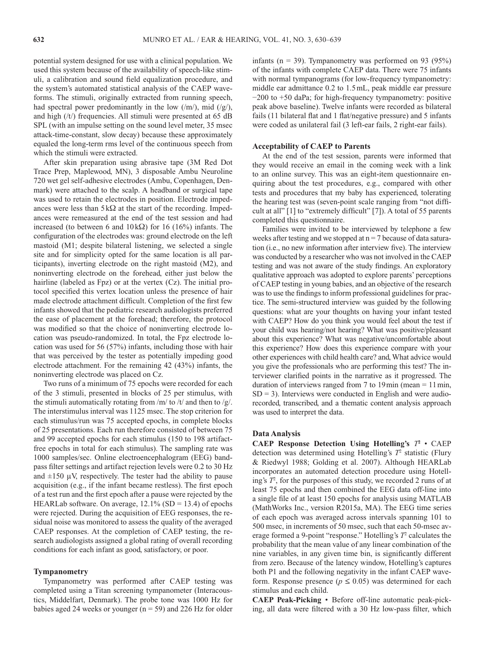potential system designed for use with a clinical population. We used this system because of the availability of speech-like stimuli, a calibration and sound field equalization procedure, and the system's automated statistical analysis of the CAEP waveforms. The stimuli, originally extracted from running speech, had spectral power predominantly in the low  $(2m)$ , mid  $(2g)$ , and high (/t/) frequencies. All stimuli were presented at 65 dB SPL (with an impulse setting on the sound level meter, 35 msec attack-time-constant, slow decay) because these approximately equaled the long-term rms level of the continuous speech from which the stimuli were extracted.

After skin preparation using abrasive tape (3M Red Dot Trace Prep, Maplewood, MN), 3 disposable Ambu Neuroline 720 wet gel self-adhesive electrodes (Ambu, Copenhagen, Denmark) were attached to the scalp. A headband or surgical tape was used to retain the electrodes in position. Electrode impedances were less than  $5 \, \text{k}\Omega$  at the start of the recording. Impedances were remeasured at the end of the test session and had increased (to between 6 and 10 kΩ) for 16 (16%) infants. The configuration of the electrodes was: ground electrode on the left mastoid (M1; despite bilateral listening, we selected a single site and for simplicity opted for the same location is all participants), inverting electrode on the right mastoid (M2), and noninverting electrode on the forehead, either just below the hairline (labeled as Fpz) or at the vertex (Cz). The initial protocol specified this vertex location unless the presence of hair made electrode attachment difficult. Completion of the first few infants showed that the pediatric research audiologists preferred the ease of placement at the forehead; therefore, the protocol was modified so that the choice of noninverting electrode location was pseudo-randomized. In total, the Fpz electrode location was used for 56 (57%) infants, including those with hair that was perceived by the tester as potentially impeding good electrode attachment. For the remaining 42 (43%) infants, the noninverting electrode was placed on Cz.

Two runs of a minimum of 75 epochs were recorded for each of the 3 stimuli, presented in blocks of 25 per stimulus, with the stimuli automatically rotating from  $/m/t$  to  $/t/$  and then to  $/g/$ . The interstimulus interval was 1125 msec. The stop criterion for each stimulus/run was 75 accepted epochs, in complete blocks of 25 presentations. Each run therefore consisted of between 75 and 99 accepted epochs for each stimulus (150 to 198 artifactfree epochs in total for each stimulus). The sampling rate was 1000 samples/sec. Online electroencephalogram (EEG) bandpass filter settings and artifact rejection levels were 0.2 to 30 Hz and  $\pm 150$  μV, respectively. The tester had the ability to pause acquisition (e.g., if the infant became restless). The first epoch of a test run and the first epoch after a pause were rejected by the HEARLab software. On average,  $12.1\%$  (SD = 13.4) of epochs were rejected. During the acquisition of EEG responses, the residual noise was monitored to assess the quality of the averaged CAEP responses. At the completion of CAEP testing, the research audiologists assigned a global rating of overall recording conditions for each infant as good, satisfactory, or poor.

# **Tympanometry**

Tympanometry was performed after CAEP testing was completed using a Titan screening tympanometer (Interacoustics, Middelfart, Denmark). The probe tone was 1000 Hz for babies aged 24 weeks or younger  $(n = 59)$  and 226 Hz for older infants ( $n = 39$ ). Tympanometry was performed on 93 (95%) of the infants with complete CAEP data. There were 75 infants with normal tympanograms (for low-frequency tympanometry: middle ear admittance 0.2 to 1.5mL, peak middle ear pressure −200 to +50 daPa; for high-frequency tympanometry: positive peak above baseline). Twelve infants were recorded as bilateral fails (11 bilateral flat and 1 flat/negative pressure) and 5 infants were coded as unilateral fail (3 left-ear fails, 2 right-ear fails).

# **Acceptability of CAEP to Parents**

At the end of the test session, parents were informed that they would receive an email in the coming week with a link to an online survey. This was an eight-item questionnaire enquiring about the test procedures, e.g., compared with other tests and procedures that my baby has experienced, tolerating the hearing test was (seven-point scale ranging from "not difficult at all" [1] to "extremely difficult" [7]). A total of 55 parents completed this questionnaire.

Families were invited to be interviewed by telephone a few weeks after testing and we stopped at  $n = 7$  because of data saturation (i.e., no new information after interview five). The interview was conducted by a researcher who was not involved in the CAEP testing and was not aware of the study findings. An exploratory qualitative approach was adopted to explore parents' perceptions of CAEP testing in young babies, and an objective of the research was to use the findings to inform professional guidelines for practice. The semi-structured interview was guided by the following questions: what are your thoughts on having your infant tested with CAEP? How do you think you would feel about the test if your child was hearing/not hearing? What was positive/pleasant about this experience? What was negative/uncomfortable about this experience? How does this experience compare with your other experiences with child health care? and, What advice would you give the professionals who are performing this test? The interviewer clarified points in the narrative as it progressed. The duration of interviews ranged from 7 to 19 min (mean  $= 11$  min,  $SD = 3$ ). Interviews were conducted in English and were audiorecorded, transcribed, and a thematic content analysis approach was used to interpret the data.

# **Data Analysis**

**CAEP Response Detection Using Hotelling's** *T***<sup>2</sup>** • CAEP detection was determined using Hotelling's *T*<sup>2</sup> statistic (Flury & Riedwyl 1988; Golding et al. 2007). Although HEARLab incorporates an automated detection procedure using Hotelling's *T*<sup>2</sup> , for the purposes of this study, we recorded 2 runs of at least 75 epochs and then combined the EEG data off-line into a single file of at least 150 epochs for analysis using MATLAB (MathWorks Inc., version R2015a, MA). The EEG time series of each epoch was averaged across intervals spanning 101 to 500 msec, in increments of 50 msec, such that each 50-msec average formed a 9-point "response." Hotelling's  $T^2$  calculates the probability that the mean value of any linear combination of the nine variables, in any given time bin, is significantly different from zero. Because of the latency window, Hotelling's captures both P1 and the following negativity in the infant CAEP waveform. Response presence ( $p \le 0.05$ ) was determined for each stimulus and each child.

**CAEP Peak-Picking** • Before off-line automatic peak-picking, all data were filtered with a 30 Hz low-pass filter, which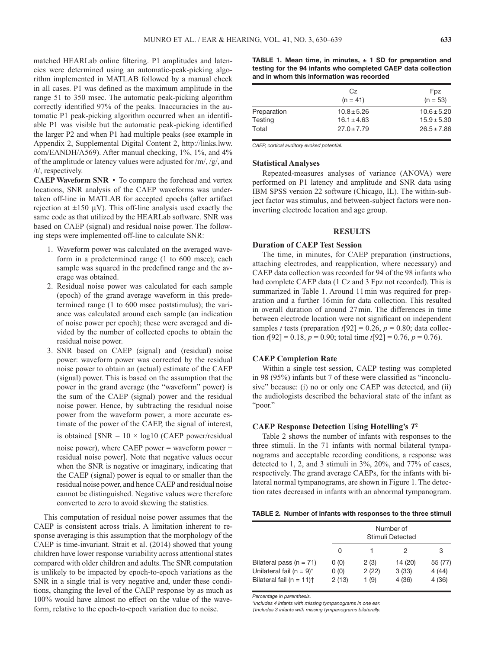matched HEARLab online filtering. P1 amplitudes and latencies were determined using an automatic-peak-picking algorithm implemented in MATLAB followed by a manual check in all cases. P1 was defined as the maximum amplitude in the range 51 to 350 msec. The automatic peak-picking algorithm correctly identified 97% of the peaks. Inaccuracies in the automatic P1 peak-picking algorithm occurred when an identifiable P1 was visible but the automatic peak-picking identified the larger P2 and when P1 had multiple peaks (see example in Appendix 2, Supplemental Digital Content 2, [http://links.lww.](http://links.lww.com/EANDH/A569) [com/EANDH/A569](http://links.lww.com/EANDH/A569)). After manual checking, 1%, 1%, and 4% of the amplitude or latency values were adjusted for /m/, /g/, and /t/, respectively.

**CAEP Waveform SNR** • To compare the forehead and vertex locations, SNR analysis of the CAEP waveforms was undertaken off-line in MATLAB for accepted epochs (after artifact rejection at  $\pm 150 \mu V$ ). This off-line analysis used exactly the same code as that utilized by the HEARLab software. SNR was based on CAEP (signal) and residual noise power. The following steps were implemented off-line to calculate SNR:

- 1. Waveform power was calculated on the averaged waveform in a predetermined range (1 to 600 msec); each sample was squared in the predefined range and the average was obtained.
- 2. Residual noise power was calculated for each sample (epoch) of the grand average waveform in this predetermined range (1 to 600 msec poststimulus); the variance was calculated around each sample (an indication of noise power per epoch); these were averaged and divided by the number of collected epochs to obtain the residual noise power.
- 3. SNR based on CAEP (signal) and (residual) noise power: waveform power was corrected by the residual noise power to obtain an (actual) estimate of the CAEP (signal) power. This is based on the assumption that the power in the grand average (the "waveform" power) is the sum of the CAEP (signal) power and the residual noise power. Hence, by subtracting the residual noise power from the waveform power, a more accurate estimate of the power of the CAEP, the signal of interest,

is obtained  $[NR = 10 \times log10$  (CAEP power/residual

noise power), where CAEP power = waveform power − residual noise power]. Note that negative values occur when the SNR is negative or imaginary, indicating that the CAEP (signal) power is equal to or smaller than the residual noise power, and hence CAEP and residual noise cannot be distinguished. Negative values were therefore converted to zero to avoid skewing the statistics.

This computation of residual noise power assumes that the CAEP is consistent across trials. A limitation inherent to response averaging is this assumption that the morphology of the CAEP is time-invariant. Strait et al. (2014) showed that young children have lower response variability across attentional states compared with older children and adults. The SNR computation is unlikely to be impacted by epoch-to-epoch variations as the SNR in a single trial is very negative and, under these conditions, changing the level of the CAEP response by as much as 100% would have almost no effect on the value of the waveform, relative to the epoch-to-epoch variation due to noise.

**TABLE 1. Mean time, in minutes, ± 1 SD for preparation and testing for the 94 infants who completed CAEP data collection and in whom this information was recorded**

|             | Cz.<br>$(n = 41)$ | Fpz<br>$(n = 53)$ |
|-------------|-------------------|-------------------|
| Preparation | $10.8 + 5.26$     | $10.6 + 5.20$     |
| Testing     | $16.1 \pm 4.63$   | $15.9 + 5.30$     |
| Total       | $27.0 \pm 7.79$   | $26.5 \pm 7.86$   |

*CAEP, cortical auditory evoked potential.*

# **Statistical Analyses**

Repeated-measures analyses of variance (ANOVA) were performed on P1 latency and amplitude and SNR data using IBM SPSS version 22 software (Chicago, IL). The within-subject factor was stimulus, and between-subject factors were noninverting electrode location and age group.

# **RESULTS**

# **Duration of CAEP Test Session**

The time, in minutes, for CAEP preparation (instructions, attaching electrodes, and reapplication, where necessary) and CAEP data collection was recorded for 94 of the 98 infants who had complete CAEP data (1 Cz and 3 Fpz not recorded). This is summarized in Table 1. Around 11 min was required for preparation and a further 16min for data collection. This resulted in overall duration of around 27min. The differences in time between electrode location were not significant on independent samples *t* tests (preparation  $t[92] = 0.26$ ,  $p = 0.80$ ; data collection  $t[92] = 0.18$ ,  $p = 0.90$ ; total time  $t[92] = 0.76$ ,  $p = 0.76$ ).

## **CAEP Completion Rate**

Within a single test session, CAEP testing was completed in 98 (95%) infants but 7 of these were classified as "inconclusive" because: (i) no or only one CAEP was detected, and (ii) the audiologists described the behavioral state of the infant as "poor."

#### **CAEP Response Detection Using Hotelling's** *T***<sup>2</sup>**

Table 2 shows the number of infants with responses to the three stimuli. In the 71 infants with normal bilateral tympanograms and acceptable recording conditions, a response was detected to 1, 2, and 3 stimuli in 3%, 20%, and 77% of cases, respectively. The grand average CAEPs, for the infants with bilateral normal tympanograms, are shown in Figure 1. The detection rates decreased in infants with an abnormal tympanogram.

|  |  |  | TABLE 2. Number of infants with responses to the three stimuli |  |  |  |
|--|--|--|----------------------------------------------------------------|--|--|--|
|--|--|--|----------------------------------------------------------------|--|--|--|

|                                                                                                         |                       | Number of<br>Stimuli Detected |                           |                           |  |
|---------------------------------------------------------------------------------------------------------|-----------------------|-------------------------------|---------------------------|---------------------------|--|
|                                                                                                         | O                     |                               | 2                         | 3                         |  |
| Bilateral pass ( $n = 71$ )<br>Unilateral fail ( $n = 9$ )*<br>Bilateral fail ( $n = 11$ ) <sup>+</sup> | 0(0)<br>0(0)<br>2(13) | 2(3)<br>2(22)<br>1(9)         | 14 (20)<br>3(33)<br>4(36) | 55 (77)<br>4(44)<br>4(36) |  |

*Percentage in parenthesis.*

*\*Includes 4 infants with missing tympanograms in one ear.*

*†Includes 3 infants with missing tympanograms bilaterally.*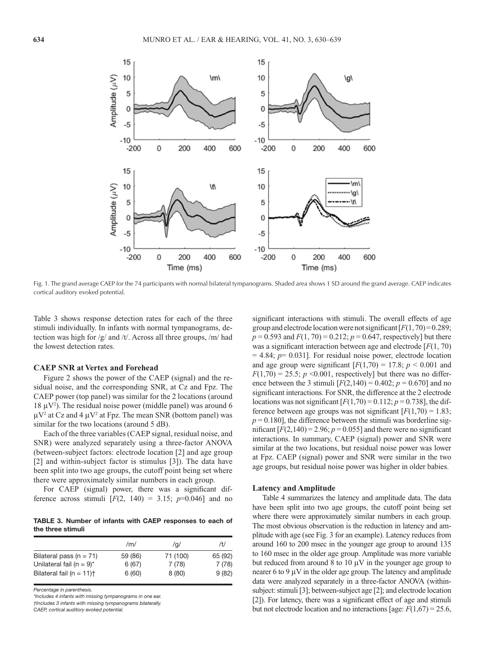

Fig. 1. The grand average CAEP for the 74 participants with normal bilateral tympanograms. Shaded area shows 1 SD around the grand average. CAEP indicates cortical auditory evoked potential.

Table 3 shows response detection rates for each of the three stimuli individually. In infants with normal tympanograms, detection was high for /g/ and /t/. Across all three groups, /m/ had the lowest detection rates.

# **CAEP SNR at Vertex and Forehead**

Figure 2 shows the power of the CAEP (signal) and the residual noise, and the corresponding SNR, at Cz and Fpz. The CAEP power (top panel) was similar for the 2 locations (around 18 μV<sup>2</sup>). The residual noise power (middle panel) was around 6  $\mu$ V<sup>2</sup> at Cz and 4  $\mu$ V<sup>2</sup> at Fpz. The mean SNR (bottom panel) was similar for the two locations (around 5 dB).

Each of the three variables (CAEP signal, residual noise, and SNR) were analyzed separately using a three-factor ANOVA (between-subject factors: electrode location [2] and age group [2] and within-subject factor is stimulus [3]). The data have been split into two age groups, the cutoff point being set where there were approximately similar numbers in each group.

For CAEP (signal) power, there was a significant difference across stimuli  $[F(2, 140) = 3.15; p=0.046]$  and no

**TABLE 3. Number of infants with CAEP responses to each of the three stimuli**

|                                        | /m/     | /q/      | /t/     |
|----------------------------------------|---------|----------|---------|
| Bilateral pass $(n = 71)$              | 59 (86) | 71 (100) | 65 (92) |
| Unilateral fail (n = $9$ )*            | 6(67)   | 7(78)    | 7 (78)  |
| Bilateral fail $(n = 11)$ <sup>+</sup> | 6(60)   | 8(80)    | 9(82)   |

*Percentage in parenthesis.*

*\*Includes 4 infants with missing tympanograms in one ear.*

*†Includes 3 infants with missing tympanograms bilaterally.*

*CAEP, cortical auditory evoked potential.*

significant interactions with stimuli. The overall effects of age group and electrode location were not significant [*F*(1, 70) = 0.289;  $p = 0.593$  and  $F(1, 70) = 0.212$ ;  $p = 0.647$ , respectively] but there was a significant interaction between age and electrode [*F*(1, 70)  $= 4.84$ ;  $p = 0.031$ ]. For residual noise power, electrode location and age group were significant  $[F(1,70) = 17.8; p \le 0.001$  and  $F(1,70) = 25.5$ ;  $p \le 0.001$ , respectively] but there was no difference between the 3 stimuli  $[F(2,140) = 0.402; p = 0.670]$  and no significant interactions. For SNR, the difference at the 2 electrode locations was not significant  $[F(1,70) = 0.112; p = 0.738]$ , the difference between age groups was not significant  $[F(1,70) = 1.83;$  $p = 0.180$ , the difference between the stimuli was borderline significant  $[F(2,140) = 2.96; p = 0.055]$  and there were no significant interactions. In summary, CAEP (signal) power and SNR were similar at the two locations, but residual noise power was lower at Fpz. CAEP (signal) power and SNR were similar in the two age groups, but residual noise power was higher in older babies.

#### **Latency and Amplitude**

Table 4 summarizes the latency and amplitude data. The data have been split into two age groups, the cutoff point being set where there were approximately similar numbers in each group. The most obvious observation is the reduction in latency and amplitude with age (see Fig. 3 for an example). Latency reduces from around 160 to 200 msec in the younger age group to around 135 to 160 msec in the older age group. Amplitude was more variable but reduced from around 8 to 10 μV in the younger age group to nearer 6 to 9  $\mu$ V in the older age group. The latency and amplitude data were analyzed separately in a three-factor ANOVA (withinsubject: stimuli [3]; between-subject age [2]; and electrode location [2]). For latency, there was a significant effect of age and stimuli but not electrode location and no interactions [age:  $F(1,67) = 25.6$ ,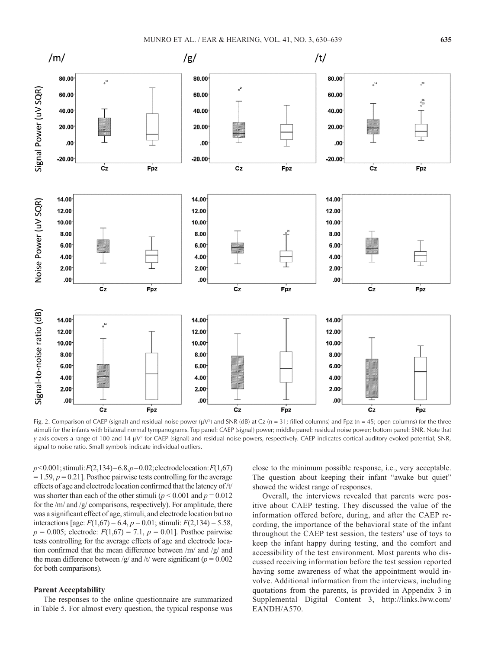

Fig. 2. Comparison of CAEP (signal) and residual noise power (μV<sup>2</sup>) and SNR (dB) at Cz (n = 31; filled columns) and Fpz (n = 45; open columns) for the three stimuli for the infants with bilateral normal tympanograms. Top panel: CAEP (signal) power; middle panel: residual noise power; bottom panel: SNR. Note that *y* axis covers a range of 100 and 14 μV2 for CAEP (signal) and residual noise powers, respectively. CAEP indicates cortical auditory evoked potential; SNR, signal to noise ratio. Small symbols indicate individual outliers.

*p* < 0.001; stimuli: *F*(2,134) = 6.8, *p* = 0.02; electrode location: *F*(1,67)  $= 1.59, p = 0.21$ . Posthoc pairwise tests controlling for the average effects of age and electrode location confirmed that the latency of /t/ was shorter than each of the other stimuli ( $p < 0.001$  and  $p = 0.012$ for the /m/ and /g/ comparisons, respectively). For amplitude, there was a significant effect of age, stimuli, and electrode location but no interactions [age: *F*(1,67) = 6.4, *p* = 0.01; stimuli: *F*(2,134) = 5.58,  $p = 0.005$ ; electrode:  $F(1,67) = 7.1$ ,  $p = 0.01$ ]. Posthoc pairwise tests controlling for the average effects of age and electrode location confirmed that the mean difference between /m/ and /g/ and the mean difference between /g/ and /t/ were significant ( $p = 0.002$ ) for both comparisons).

# **Parent Acceptability**

The responses to the online questionnaire are summarized in Table 5. For almost every question, the typical response was close to the minimum possible response, i.e., very acceptable. The question about keeping their infant "awake but quiet" showed the widest range of responses.

Overall, the interviews revealed that parents were positive about CAEP testing. They discussed the value of the information offered before, during, and after the CAEP recording, the importance of the behavioral state of the infant throughout the CAEP test session, the testers' use of toys to keep the infant happy during testing, and the comfort and accessibility of the test environment. Most parents who discussed receiving information before the test session reported having some awareness of what the appointment would involve. Additional information from the interviews, including quotations from the parents, is provided in Appendix 3 in Supplemental Digital Content 3, [http://links.lww.com/](http://links.lww.com/EANDH/A570) [EANDH/A570](http://links.lww.com/EANDH/A570).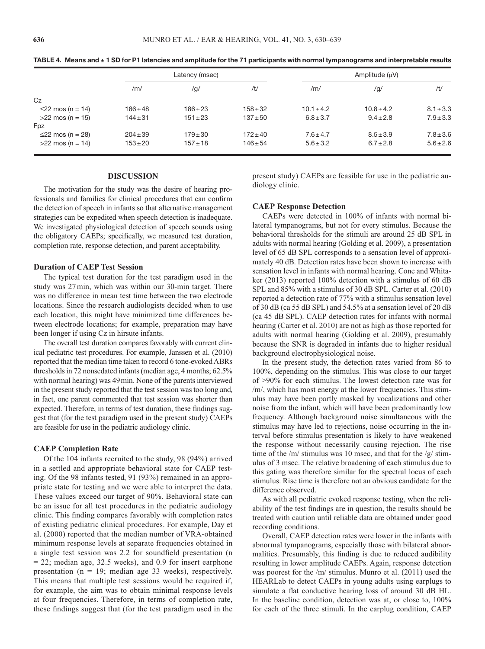|                    |              | Latency (msec) |              |                | Amplitude $(uV)$ |               |  |
|--------------------|--------------|----------------|--------------|----------------|------------------|---------------|--|
|                    | /m/          | /g/            | /t/          | /m/            | /g/              | /t/           |  |
| Cz                 |              |                |              |                |                  |               |  |
| ≤22 mos (n = 14)   | 186±48       | $186 + 23$     | $158 + 32$   | $10.1 \pm 4.2$ | $10.8 \pm 4.2$   | $8.1 \pm 3.3$ |  |
| $>22$ mos (n = 15) | $144 \pm 31$ | $151 \pm 23$   | $137 + 50$   | $6.8 \pm 3.7$  | $9.4 \pm 2.8$    | $7.9 \pm 3.3$ |  |
| Fpz                |              |                |              |                |                  |               |  |
| ≤22 mos (n = 28)   | $204 \pm 39$ | $179 \pm 30$   | $172 \pm 40$ | $7.6 \pm 4.7$  | $8.5 \pm 3.9$    | $7.8 \pm 3.6$ |  |
| $>22$ mos (n = 14) | $153 + 20$   | $157 + 18$     | $146 + 54$   | $5.6 \pm 3.2$  | $6.7 \pm 2.8$    | $5.6 \pm 2.6$ |  |

**TABLE 4. Means and ± 1 SD for P1 latencies and amplitude for the 71 participants with normal tympanograms and interpretable results**

# **DISCUSSION**

The motivation for the study was the desire of hearing professionals and families for clinical procedures that can confirm the detection of speech in infants so that alternative management strategies can be expedited when speech detection is inadequate. We investigated physiological detection of speech sounds using the obligatory CAEPs; specifically, we measured test duration, completion rate, response detection, and parent acceptability.

# **Duration of CAEP Test Session**

The typical test duration for the test paradigm used in the study was 27min, which was within our 30-min target. There was no difference in mean test time between the two electrode locations. Since the research audiologists decided when to use each location, this might have minimized time differences between electrode locations; for example, preparation may have been longer if using Cz in hirsute infants.

The overall test duration compares favorably with current clinical pediatric test procedures. For example, Janssen et al. (2010) reported that the median time taken to record 6 tone-evoked ABRs thresholds in 72 nonsedated infants (median age, 4 months; 62.5% with normal hearing) was 49min. None of the parents interviewed in the present study reported that the test session was too long and, in fact, one parent commented that test session was shorter than expected. Therefore, in terms of test duration, these findings suggest that (for the test paradigm used in the present study) CAEPs are feasible for use in the pediatric audiology clinic.

# **CAEP Completion Rate**

Of the 104 infants recruited to the study, 98 (94%) arrived in a settled and appropriate behavioral state for CAEP testing. Of the 98 infants tested, 91 (93%) remained in an appropriate state for testing and we were able to interpret the data. These values exceed our target of 90%. Behavioral state can be an issue for all test procedures in the pediatric audiology clinic. This finding compares favorably with completion rates of existing pediatric clinical procedures. For example, Day et al. (2000) reported that the median number of VRA-obtained minimum response levels at separate frequencies obtained in a single test session was 2.2 for soundfield presentation (n  $= 22$ ; median age, 32.5 weeks), and 0.9 for insert earphone presentation (n = 19; median age 33 weeks), respectively. This means that multiple test sessions would be required if, for example, the aim was to obtain minimal response levels at four frequencies. Therefore, in terms of completion rate, these findings suggest that (for the test paradigm used in the

present study) CAEPs are feasible for use in the pediatric audiology clinic.

# **CAEP Response Detection**

CAEPs were detected in 100% of infants with normal bilateral tympanograms, but not for every stimulus. Because the behavioral thresholds for the stimuli are around 25 dB SPL in adults with normal hearing (Golding et al. 2009), a presentation level of 65 dB SPL corresponds to a sensation level of approximately 40 dB. Detection rates have been shown to increase with sensation level in infants with normal hearing. Cone and Whitaker (2013) reported 100% detection with a stimulus of 60 dB SPL and 85% with a stimulus of 30 dB SPL. Carter et al. (2010) reported a detection rate of 77% with a stimulus sensation level of 30 dB (ca 55 dB SPL) and 54.5% at a sensation level of 20 dB (ca 45 dB SPL). CAEP detection rates for infants with normal hearing (Carter et al. 2010) are not as high as those reported for adults with normal hearing (Golding et al. 2009), presumably because the SNR is degraded in infants due to higher residual background electrophysiological noise.

In the present study, the detection rates varied from 86 to 100%, depending on the stimulus. This was close to our target of >90% for each stimulus. The lowest detection rate was for /m/, which has most energy at the lower frequencies. This stimulus may have been partly masked by vocalizations and other noise from the infant, which will have been predominantly low frequency. Although background noise simultaneous with the stimulus may have led to rejections, noise occurring in the interval before stimulus presentation is likely to have weakened the response without necessarily causing rejection. The rise time of the /m/ stimulus was 10 msec, and that for the /g/ stimulus of 3 msec. The relative broadening of each stimulus due to this gating was therefore similar for the spectral locus of each stimulus. Rise time is therefore not an obvious candidate for the difference observed.

As with all pediatric evoked response testing, when the reliability of the test findings are in question, the results should be treated with caution until reliable data are obtained under good recording conditions.

Overall, CAEP detection rates were lower in the infants with abnormal tympanograms, especially those with bilateral abnormalities. Presumably, this finding is due to reduced audibility resulting in lower amplitude CAEPs. Again, response detection was poorest for the /m/ stimulus. Munro et al. (2011) used the HEARLab to detect CAEPs in young adults using earplugs to simulate a flat conductive hearing loss of around 30 dB HL. In the baseline condition, detection was at, or close to, 100% for each of the three stimuli. In the earplug condition, CAEP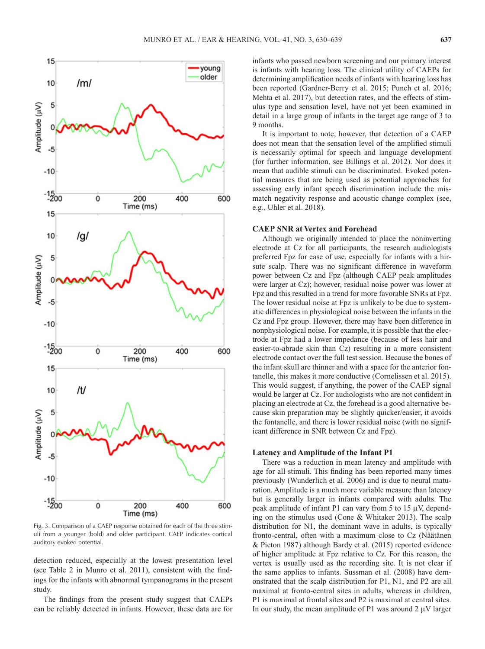

Fig. 3. Comparison of a CAEP response obtained for each of the three stimuli from a younger (bold) and older participant. CAEP indicates cortical auditory evoked potential.

detection reduced, especially at the lowest presentation level (see Table 2 in Munro et al. 2011), consistent with the findings for the infants with abnormal tympanograms in the present study.

The findings from the present study suggest that CAEPs can be reliably detected in infants. However, these data are for infants who passed newborn screening and our primary interest is infants with hearing loss. The clinical utility of CAEPs for determining amplification needs of infants with hearing loss has been reported (Gardner-Berry et al. 2015; Punch et al. 2016; Mehta et al. 2017), but detection rates, and the effects of stimulus type and sensation level, have not yet been examined in detail in a large group of infants in the target age range of 3 to 9 months.

It is important to note, however, that detection of a CAEP does not mean that the sensation level of the amplified stimuli is necessarily optimal for speech and language development (for further information, see Billings et al. 2012). Nor does it mean that audible stimuli can be discriminated. Evoked potential measures that are being used as potential approaches for assessing early infant speech discrimination include the mismatch negativity response and acoustic change complex (see, e.g., Uhler et al. 2018).

# **CAEP SNR at Vertex and Forehead**

Although we originally intended to place the noninverting electrode at Cz for all participants, the research audiologists preferred Fpz for ease of use, especially for infants with a hirsute scalp. There was no significant difference in waveform power between Cz and Fpz (although CAEP peak amplitudes were larger at Cz); however, residual noise power was lower at Fpz and this resulted in a trend for more favorable SNRs at Fpz. The lower residual noise at Fpz is unlikely to be due to systematic differences in physiological noise between the infants in the Cz and Fpz group. However, there may have been difference in nonphysiological noise. For example, it is possible that the electrode at Fpz had a lower impedance (because of less hair and easier-to-abrade skin than Cz) resulting in a more consistent electrode contact over the full test session. Because the bones of the infant skull are thinner and with a space for the anterior fontanelle, this makes it more conductive (Cornelissen et al. 2015). This would suggest, if anything, the power of the CAEP signal would be larger at Cz. For audiologists who are not confident in placing an electrode at Cz, the forehead is a good alternative because skin preparation may be slightly quicker/easier, it avoids the fontanelle, and there is lower residual noise (with no significant difference in SNR between Cz and Fpz).

# **Latency and Amplitude of the Infant P1**

There was a reduction in mean latency and amplitude with age for all stimuli. This finding has been reported many times previously (Wunderlich et al. 2006) and is due to neural maturation. Amplitude is a much more variable measure than latency but is generally larger in infants compared with adults. The peak amplitude of infant P1 can vary from 5 to 15 μV, depending on the stimulus used (Cone & Whitaker 2013). The scalp distribution for N1, the dominant wave in adults, is typically fronto-central, often with a maximum close to Cz (Näätänen & Picton 1987) although Bardy et al. (2015) reported evidence of higher amplitude at Fpz relative to Cz. For this reason, the vertex is usually used as the recording site. It is not clear if the same applies to infants. Sussman et al. (2008) have demonstrated that the scalp distribution for P1, N1, and P2 are all maximal at fronto-central sites in adults, whereas in children, P1 is maximal at frontal sites and P2 is maximal at central sites. In our study, the mean amplitude of P1 was around 2 μV larger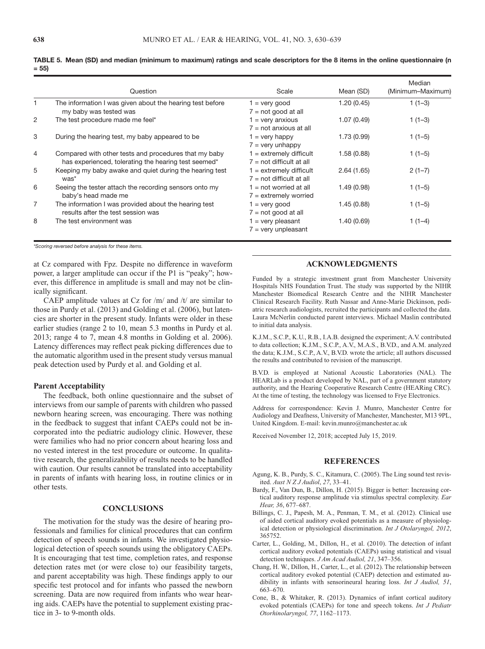|                | Question                                                                                                      | Scale                                                 | Mean (SD)  | Median<br>(Minimum-Maximum) |
|----------------|---------------------------------------------------------------------------------------------------------------|-------------------------------------------------------|------------|-----------------------------|
|                | The information I was given about the hearing test before<br>my baby was tested was                           | $=$ very good<br>$7 = not good at all$                | 1.20(0.45) | $1(1-3)$                    |
| 2              | The test procedure made me feel*                                                                              | $=$ very anxious<br>$7 = not$ anxious at all          | 1.07(0.49) | $1(1-3)$                    |
| 3              | During the hearing test, my baby appeared to be.                                                              | $1 =$ very happy<br>$7 =$ very unhappy                | 1.73(0.99) | $1(1-5)$                    |
| $\overline{4}$ | Compared with other tests and procedures that my baby<br>has experienced, tolerating the hearing test seemed* | 1 = extremely difficult<br>$7 = not$ difficult at all | 1.58(0.88) | $1(1-5)$                    |
| 5              | Keeping my baby awake and quiet during the hearing test<br>was*                                               | 1 = extremely difficult<br>$7 = not$ difficult at all | 2.64(1.65) | $2(1-7)$                    |
| 6              | Seeing the tester attach the recording sensors onto my<br>baby's head made me                                 | $1 = not worried$ at all<br>$7 =$ extremely worried   | 1.49(0.98) | $1(1-5)$                    |
| 7              | The information I was provided about the hearing test<br>results after the test session was                   | $1 = \text{very good}$<br>$7 = not good at all$       | 1.45(0.88) | $1(1-5)$                    |
| 8              | The test environment was                                                                                      | $1 =$ very pleasant<br>$7 =$ very unpleasant          | 1.40(0.69) | $1(1-4)$                    |

**TABLE 5. Mean (SD) and median (minimum to maximum) ratings and scale descriptors for the 8 items in the online questionnaire (n = 55)**

*\*Scoring reversed before analysis for these items.*

at Cz compared with Fpz. Despite no difference in waveform power, a larger amplitude can occur if the P1 is "peaky"; however, this difference in amplitude is small and may not be clinically significant.

CAEP amplitude values at Cz for  $/m/$  and  $/t/$  are similar to those in Purdy et al. (2013) and Golding et al. (2006), but latencies are shorter in the present study. Infants were older in these earlier studies (range 2 to 10, mean 5.3 months in Purdy et al. 2013; range 4 to 7, mean 4.8 months in Golding et al. 2006). Latency differences may reflect peak picking differences due to the automatic algorithm used in the present study versus manual peak detection used by Purdy et al. and Golding et al.

# **Parent Acceptability**

The feedback, both online questionnaire and the subset of interviews from our sample of parents with children who passed newborn hearing screen, was encouraging. There was nothing in the feedback to suggest that infant CAEPs could not be incorporated into the pediatric audiology clinic. However, these were families who had no prior concern about hearing loss and no vested interest in the test procedure or outcome. In qualitative research, the generalizability of results needs to be handled with caution. Our results cannot be translated into acceptability in parents of infants with hearing loss, in routine clinics or in other tests.

## **CONCLUSIONS**

The motivation for the study was the desire of hearing professionals and families for clinical procedures that can confirm detection of speech sounds in infants. We investigated physiological detection of speech sounds using the obligatory CAEPs. It is encouraging that test time, completion rates, and response detection rates met (or were close to) our feasibility targets, and parent acceptability was high. These findings apply to our specific test protocol and for infants who passed the newborn screening. Data are now required from infants who wear hearing aids. CAEPs have the potential to supplement existing practice in 3- to 9-month olds.

# **ACKNOWLEDGMENTS**

Funded by a strategic investment grant from Manchester University Hospitals NHS Foundation Trust. The study was supported by the NIHR Manchester Biomedical Research Centre and the NIHR Manchester Clinical Research Facility. Ruth Nassar and Anne-Marie Dickinson, pediatric research audiologists, recruited the participants and collected the data. Laura McNerlin conducted parent interviews. Michael Maslin contributed to initial data analysis.

K.J.M., S.C.P., K.U., R.B., I.A.B. designed the experiment; A.V. contributed to data collection; K.J.M., S.C.P., A.V., M.A.S., B.V.D., and A.M. analyzed the data; K.J.M., S.C.P., A.V., B.V.D. wrote the article; all authors discussed the results and contributed to revision of the manuscript.

B.V.D. is employed at National Acoustic Laboratories (NAL). The HEARLab is a product developed by NAL, part of a government statutory authority, and the Hearing Cooperative Research Centre (HEARing CRC). At the time of testing, the technology was licensed to Frye Electronics.

Address for correspondence: Kevin J. Munro, Manchester Centre for Audiology and Deafness, University of Manchester, Manchester, M13 9PL, United Kingdom. E-mail: [kevin.munro@manchester.ac.uk](mailto:kevin.munro@manchester.ac.uk)

Received November 12, 2018; accepted July 15, 2019.

# **REFERENCES**

- Agung, K. B., Purdy, S. C., Kitamura, C. (2005). The Ling sound test revisited. *Aust N Z J Audiol*, *27*, 33–41.
- Bardy, F., Van Dun, B., Dillon, H. (2015). Bigger is better: Increasing cortical auditory response amplitude via stimulus spectral complexity. *Ear Hear, 36*, 677–687.
- Billings, C. J., Papesh, M. A., Penman, T. M., et al. (2012). Clinical use of aided cortical auditory evoked potentials as a measure of physiological detection or physiological discrimination. *Int J Otolaryngol, 2012*, 365752.
- Carter, L., Golding, M., Dillon, H., et al. (2010). The detection of infant cortical auditory evoked potentials (CAEPs) using statistical and visual detection techniques. *J Am Acad Audiol, 21*, 347–356.
- Chang, H. W., Dillon, H., Carter, L., et al. (2012). The relationship between cortical auditory evoked potential (CAEP) detection and estimated audibility in infants with sensorineural hearing loss. *Int J Audiol, 51*, 663–670.
- Cone, B., & Whitaker, R. (2013). Dynamics of infant cortical auditory evoked potentials (CAEPs) for tone and speech tokens. *Int J Pediatr Otorhinolaryngol, 77*, 1162–1173.